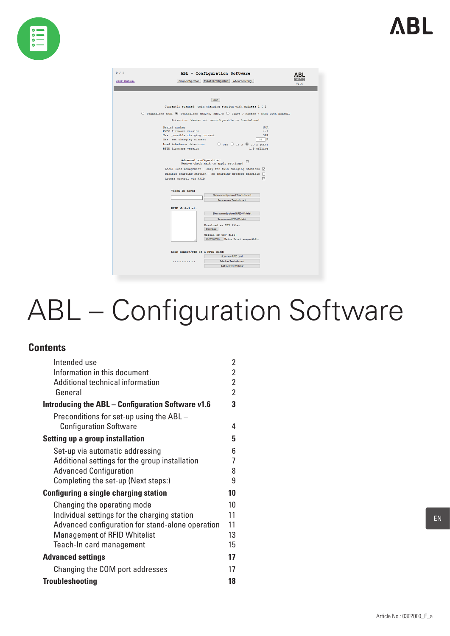



# ABL – Configuration Software

# **Contents**

| Intended use                                      | 2              |
|---------------------------------------------------|----------------|
| Information in this document                      | $\overline{2}$ |
| Additional technical information                  | $\overline{2}$ |
| General                                           | $\overline{2}$ |
| Introducing the ABL – Configuration Software v1.6 | 3              |
| Preconditions for set-up using the ABL -          |                |
| <b>Configuration Software</b>                     | 4              |
| <b>Setting up a group installation</b>            | 5              |
| Set-up via automatic addressing                   | 6              |
| Additional settings for the group installation    | 7              |
| <b>Advanced Configuration</b>                     | 8              |
| Completing the set-up (Next steps:)               | 9              |
| <b>Configuring a single charging station</b>      | 10             |
| Changing the operating mode                       | 10             |
| Individual settings for the charging station      | 11             |
| Advanced configuration for stand-alone operation  | 11             |
| <b>Management of RFID Whitelist</b>               | 13             |
| Teach-In card management                          | 15             |
| <b>Advanced settings</b>                          | 17             |
| Changing the COM port addresses                   | 17             |
| <b>Troubleshooting</b>                            | 18             |

EN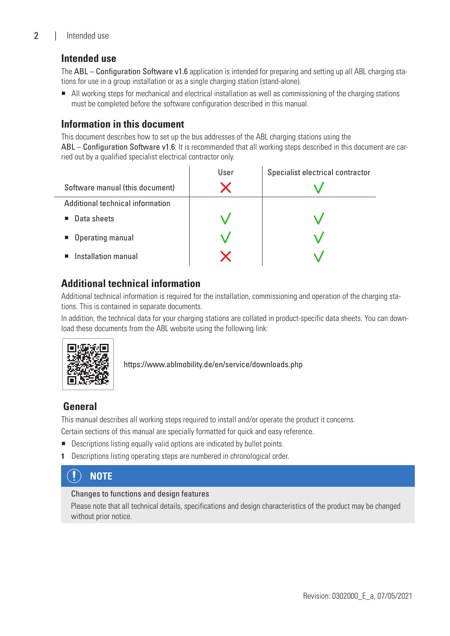# <span id="page-1-0"></span>2 | Intended use

# **Intended use**

The ABL – Configuration Software v1.6 application is intended for preparing and setting up all ABL charging stations for use in a group installation or as a single charging station (stand-alone).

 All working steps for mechanical and electrical installation as well as commissioning of the charging stations must be completed before the software configuration described in this manual.

# **Information in this document**

This document describes how to set up the bus addresses of the ABL charging stations using the ABL – Configuration Software v1.6: It is recommended that all working steps described in this document are carried out by a qualified specialist electrical contractor only.

|                                  | User | Specialist electrical contractor |
|----------------------------------|------|----------------------------------|
| Software manual (this document)  |      |                                  |
| Additional technical information |      |                                  |
| Data sheets<br>$\blacksquare$    |      |                                  |
| • Operating manual               |      |                                  |
| Installation manual              |      |                                  |

# **Additional technical information**

Additional technical information is required for the installation, commissioning and operation of the charging stations. This is contained in separate documents.

In addition, the technical data for your charging stations are collated in product-specific data sheets. You can download these documents from the ABL website using the following link:



## https://www.ablmobility.de/en/service/downloads.php

# **General**

This manual describes all working steps required to install and/or operate the product it concerns.

Certain sections of this manual are specially formatted for quick and easy reference.

- Descriptions listing equally valid options are indicated by bullet points.
- **1** Descriptions listing operating steps are numbered in chronological order.

#### $\ket{\mathbf{l}}$ **NOTE**

#### Changes to functions and design features

Please note that all technical details, specifications and design characteristics of the product may be changed without prior notice.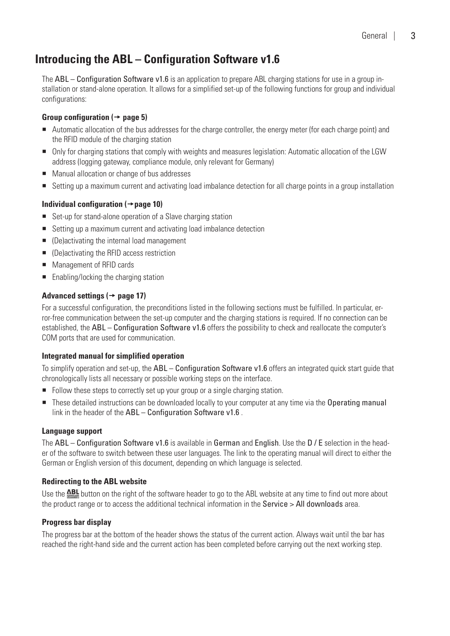# <span id="page-2-0"></span>**Introducing the ABL – Configuration Software v1.6**

The ABL – Configuration Software v1.6 is an application to prepare ABL charging stations for use in a group installation or stand-alone operation. It allows for a simplified set-up of the following functions for group and individual configurations:

## Group configuration  $(\rightarrow$  [page 5\)](#page-4-1)

- Automatic allocation of the bus addresses for the charge controller, the energy meter (for each charge point) and the RFID module of the charging station
- Only for charging stations that comply with weights and measures legislation: Automatic allocation of the LGW address (logging gateway, compliance module, only relevant for Germany)
- Manual allocation or change of bus addresses
- Setting up a maximum current and activating load imbalance detection for all charge points in a group installation

## **Individual configuration ([page 10](#page-9-1))**

- Set-up for stand-alone operation of a Slave charging station
- Setting up a maximum current and activating load imbalance detection
- (De)activating the internal load management
- (De)activating the RFID access restriction
- **Management of RFID cards**
- Enabling/locking the charging station

## Advanced settings  $($   $\rightarrow$  [page 17](#page-16-1) $)$

For a successful configuration, the preconditions listed in the following sections must be fulfilled. In particular, error-free communication between the set-up computer and the charging stations is required. If no connection can be established, the ABL – Configuration Software v1.6 offers the possibility to check and reallocate the computer's COM ports that are used for communication.

## **Integrated manual for simplified operation**

To simplify operation and set-up, the ABL – Configuration Software v1.6 offers an integrated quick start guide that chronologically lists all necessary or possible working steps on the interface.

- Follow these steps to correctly set up your group or a single charging station.
- These detailed instructions can be downloaded locally to your computer at any time via the Operating manual link in the header of the ABL – Configuration Software v1.6.

#### **Language support**

The ABL – Configuration Software v1.6 is available in German and English. Use the D / E selection in the header of the software to switch between these user languages. The link to the operating manual will direct to either the German or English version of this document, depending on which language is selected.

## **Redirecting to the ABL website**

Use the **ABL** button on the right of the software header to go to the ABL website at any time to find out more about the product range or to access the additional technical information in the [Service > All downloads](https://www.ablmobility.de/en/service/downloads.php) area.

## **Progress bar display**

The progress bar at the bottom of the header shows the status of the current action. Always wait until the bar has reached the right-hand side and the current action has been completed before carrying out the next working step.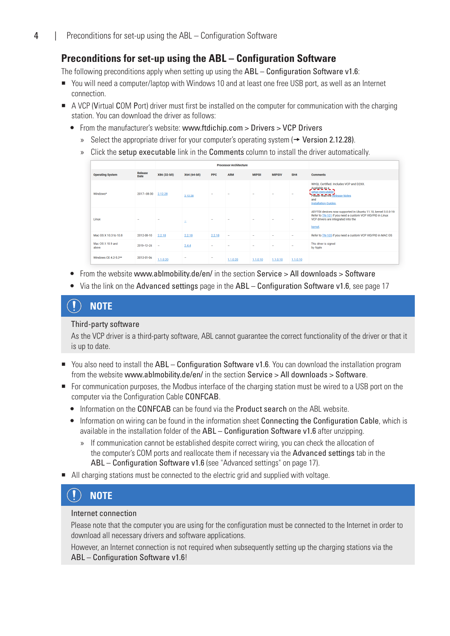# <span id="page-3-1"></span><span id="page-3-0"></span>**Preconditions for set-up using the ABL – Configuration Software**

The following preconditions apply when setting up using the  $ABL -$ Configuration Software v1.6:

- You will need a computer/laptop with Windows 10 and at least one free USB port, as well as an Internet connection.
- A VCP (Virtual COM Port) driver must first be installed on the computer for communication with the charging station. You can download the driver as follows:
	- From the manufacturer's website: [www.ftdichip.com](https://ftdichip.com/drivers/vcp-drivers/) > Drivers > VCP Drivers
		- » Select the appropriate driver for your computer's operating system  $(\rightarrow$  [Version 2.12.28](https://www.ftdichip.com/Drivers/CDM/CDM%20v2.12.28%20WHQL%20Certified.zip)).
		- » Click the setup executable link in the Comments column to install the driver automatically.

|                            |                               |              |              |            | <b>Processor Architecture</b> |               |               |                          |                                                                                                                                                                                |
|----------------------------|-------------------------------|--------------|--------------|------------|-------------------------------|---------------|---------------|--------------------------|--------------------------------------------------------------------------------------------------------------------------------------------------------------------------------|
| <b>Operating System</b>    | <b>Release</b><br><b>Date</b> | X86 (32-bit) | X64 (64-bit) | <b>PPC</b> | <b>ARM</b>                    | <b>MIPSII</b> | <b>MIPSIV</b> | SH4                      | <b>Comments</b>                                                                                                                                                                |
| Windows*                   | 2017-08-30                    | 2.12.28      | 2.12.28      |            |                               |               |               | $\sim$                   | WHQL Certified. Includes VCP and D2XX.<br>Available as a<br>setup executable<br>Please read the Release Notes<br>and<br><b>Installation Guides.</b>                            |
| Linux                      |                               | $\sim$       | ۰            |            |                               |               |               | $\overline{\phantom{a}}$ | All FTDI devices now supported in Ubuntu 11.10, kernel 3.0.0-19<br>Refer to TN-101 if you need a custom VCP VID/PID in Linux<br>VCP drivers are integrated into the<br>kernel. |
| Mac OS X 10.3 to 10.8      | 2012-08-10                    | 2.2.18       | 2.2.18       | 2.2.18     | $\overline{\phantom{0}}$      |               |               | ۰                        | Refer to TN-105 if you need a custom VCP VID/PID in MAC OS                                                                                                                     |
| Mac OS X 10.9 and<br>above | 2019-12-24                    | <b>.</b>     | 2.4.4        |            |                               |               |               | ۰                        | This driver is signed<br>by Apple                                                                                                                                              |
| Windows CE 4.2-5.2**       | 2012-01-06                    | 1.1.0.20     |              |            | 1.1.0.20                      | 1.1.0.10      | 1.1.0.10      | 1.1.0.10                 |                                                                                                                                                                                |
|                            |                               |              |              |            |                               |               |               |                          |                                                                                                                                                                                |

- From the website [www.ablmobility.de/en/](http://www.ablmobility.de/en) in the section [Service > All downloads > Software](https://www.ablmobility.de/en/service/downloads.php#software)
- Via the link on the Advanced settings page in the ABL Configuration Software v1.6, see [page 17](#page-16-1)

#### $\left( \, \right)$ **NOTE**

#### Third-party software

As the VCP driver is a third-party software, ABL cannot guarantee the correct functionality of the driver or that it is up to date.

- You also need to install the ABL Configuration Software v1.6. You can download the installation program from the website [www.ablmobility.de/en/](http://www.ablmobility.de/en) in the section [Service > All downloads > Software](https://www.ablmobility.de/en/service/downloads.php#software).
- For communication purposes, the Modbus interface of the charging station must be wired to a USB port on the computer via the Configuration Cable CONFCAB.
	- Information on the CONFCAB can be found via the [Product search](https://www.abl.de/de/produktsuche.php?selection=CONFCAB%257Citemnr_CONFCAB) on the ABL website.
	- Information on wiring can be found in the information sheet Connecting the Configuration Cable, which is available in the installation folder of the ABL – Configuration Software v1.6 after unzipping.
		- » If communication cannot be established despite correct wiring, you can check the allocation of the computer's COM ports and reallocate them if necessary via the Advanced settings tab in the ABL – Configuration Software v1.6 (see ["Advanced settings" on page 17](#page-16-1)).
- All charging stations must be connected to the electric grid and supplied with voltage.

# **NOTE**

#### Internet connection

Please note that the computer you are using for the configuration must be connected to the Internet in order to download all necessary drivers and software applications.

However, an Internet connection is not required when subsequently setting up the charging stations via the ABL – Configuration Software v1.6!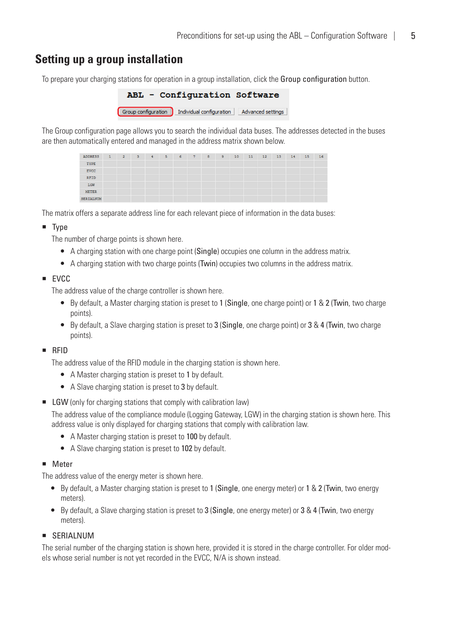# <span id="page-4-1"></span><span id="page-4-0"></span>**Setting up a group installation**

To prepare your charging stations for operation in a group installation, click the Group configuration button.

| ABL - Configuration Software                   |                   |
|------------------------------------------------|-------------------|
| Group configuration   Individual configuration | Advanced settings |

The Group configuration page allows you to search the individual data buses. The addresses detected in the buses are then automatically entered and managed in the address matrix shown below.

| <b>ADDRESS</b> | $-1$ | $\sim$ 2 | 3 | 4 | $5\qquad 6$ | $7 -$ | 8 | 9 | 10 | 11 | 12 | 13 | 14 | 15 | 16 |
|----------------|------|----------|---|---|-------------|-------|---|---|----|----|----|----|----|----|----|
| TYPE           |      |          |   |   |             |       |   |   |    |    |    |    |    |    |    |
| EVCC           |      |          |   |   |             |       |   |   |    |    |    |    |    |    |    |
| <b>RFID</b>    |      |          |   |   |             |       |   |   |    |    |    |    |    |    |    |
| LGW            |      |          |   |   |             |       |   |   |    |    |    |    |    |    |    |
| METER          |      |          |   |   |             |       |   |   |    |    |    |    |    |    |    |
| SERIALNUM      |      |          |   |   |             |       |   |   |    |    |    |    |    |    |    |

The matrix offers a separate address line for each relevant piece of information in the data buses:

#### $\blacksquare$  Type

The number of charge points is shown here.

- A charging station with one charge point (Single) occupies one column in the address matrix.
- A charging station with two charge points (Twin) occupies two columns in the address matrix.
- $EVCC$

The address value of the charge controller is shown here.

- By default, a Master charging station is preset to 1 (Single, one charge point) or 1 & 2 (Twin, two charge points).
- By default, a Slave charging station is preset to 3 (Single, one charge point) or 3 & 4 (Twin, two charge points).
- RFID

The address value of the RFID module in the charging station is shown here.

- A Master charging station is preset to 1 by default.
- A Slave charging station is preset to 3 by default.
- **EXECUTE:** LGW (only for charging stations that comply with calibration law)

The address value of the compliance module (Logging Gateway, LGW) in the charging station is shown here. This address value is only displayed for charging stations that comply with calibration law.

- A Master charging station is preset to 100 by default.
- A Slave charging station is preset to 102 by default.

#### **Meter**

The address value of the energy meter is shown here.

- By default, a Master charging station is preset to 1 (Single, one energy meter) or 1 & 2 (Twin, two energy meters).
- $\bullet$  By default, a Slave charging station is preset to 3 (Single, one energy meter) or 3 & 4 (Twin, two energy meters).

## **SERIALNUM**

The serial number of the charging station is shown here, provided it is stored in the charge controller. For older models whose serial number is not yet recorded in the EVCC, N/A is shown instead.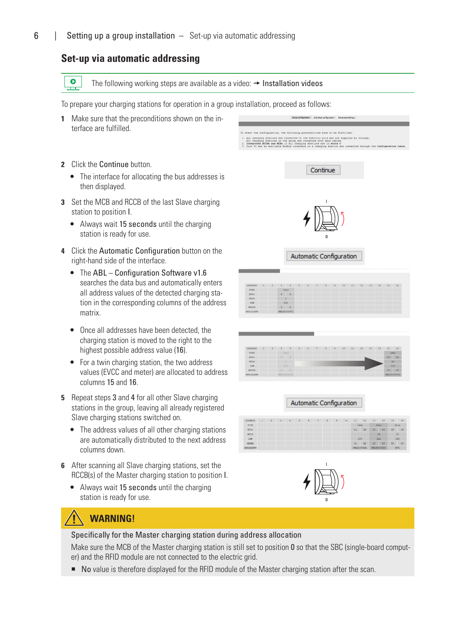# <span id="page-5-1"></span><span id="page-5-0"></span>**Set-up via automatic addressing**

 $\ddot{\mathbf{o}}$ The following working steps are available as a video:  $\rightarrow$  [Installation videos](https://www.ablmobility.de/en/service/downloads.php#installationsvideo)

To prepare your charging stations for operation in a group installation, proceed as follows:

 $\frac{2}{3}$ 

- **1** Make sure that the preconditions shown on the interface are fulfilled.
- **2** Click the Continue button.
	- The interface for allocating the bus addresses is then displayed.
- **3** Set the MCB and RCCB of the last Slave charging station to position I.
	- Always wait 15 seconds until the charging station is ready for use.
- **4** Click the Automatic Configuration button on the right-hand side of the interface.
	- The ABL Configuration Software v1.6 searches the data bus and automatically enters all address values of the detected charging station in the corresponding columns of the address matrix.
	- Once all addresses have been detected, the charging station is moved to the right to the highest possible address value (16).
	- For a twin charging station, the two address values (EVCC and meter) are allocated to address columns 15 and 16.
- **5** Repeat steps 3 and 4 for all other Slave charging stations in the group, leaving all already registered Slave charging stations switched on.
	- The address values of all other charging stations are automatically distributed to the next address columns down.
- **6** After scanning all Slave charging stations, set the RCCB(s) of the Master charging station to position I.
	- Always wait 15 seconds until the charging station is ready for use.

# communications are connected to the electric grid and<br>rging stations in the group are connected with data ci<br>ted RCCBs and MCBs in all charging stations are in sti-<br>and an available Modbus interface in a charging station Continue I Automatic Configuration TYPE RFID<br>LGW **Automatic Configuration**

start the configuration, the following preconditions have to be fulfilled:

| <b>ADDRESS</b>   | 2 | $4 -$ | 5 <sup>2</sup> | $\overline{6}$ | $\overline{8}$ | 9 <sup>o</sup> | 10 | 11   | 12          | 13  | 74          | 15           | 16 |
|------------------|---|-------|----------------|----------------|----------------|----------------|----|------|-------------|-----|-------------|--------------|----|
| TYPE             |   |       |                |                |                |                |    | twin |             |     | twin        | twin         |    |
| <b>EVCC</b>      |   |       |                |                |                |                |    | 11   | $12^{12}$   | 13  | $-14$       | 15           | 16 |
| RFID             |   |       |                |                |                |                |    |      |             | 13  |             | 15           |    |
| LGW              |   |       |                |                |                |                |    |      | 110         | 112 |             | 114          |    |
| METER            |   |       |                |                |                |                |    | 22   | $12^{12}$   | 13  | $-14$       | 15           | 16 |
| <b>SERIALNUM</b> |   |       |                |                |                |                |    |      | 3W226303681 |     | 3W225303801 | $3l/\lambda$ |    |



# **WARNING!**

#### Specifically for the Master charging station during address allocation

Make sure the MCB of the Master charging station is still set to position 0 so that the SBC (single-board computer) and the RFID module are not connected to the electric grid.

■ No value is therefore displayed for the RFID module of the Master charging station after the scan.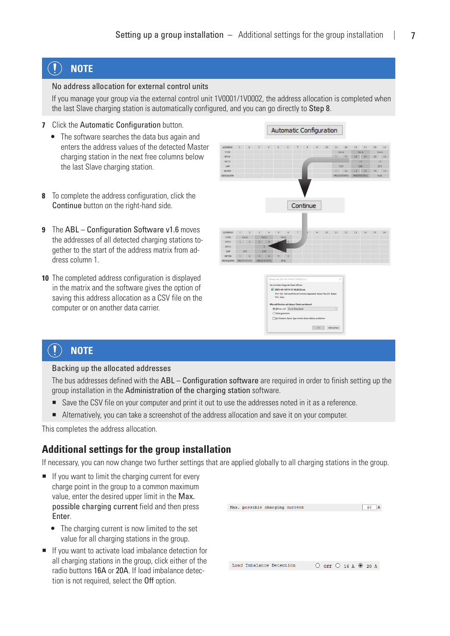#### <span id="page-6-0"></span> $\left( \mathbf{I}\right)$ **NOTE**

#### No address allocation for external control units

If you manage your group via the external control unit 1V0001/1V0002, the address allocation is completed when the last Slave charging station is automatically configured, and you can go directly to Step 8.

- **7** Click the Automatic Configuration button.
	- The software searches the data bus again and enters the address values of the detected Master charging station in the next free columns below the last Slave charging station.
- Automatic Configuration



- **8** To complete the address configuration, click the Continue button on the right-hand side.
- **9** The ABL Configuration Software v1.6 moves the addresses of all detected charging stations together to the start of the address matrix from address column 1.
- **10** The completed address configuration is displayed in the matrix and the software gives the option of saving this address allocation as a CSV file on the computer or on another data carrier.





#### $\left( \bf{l}\right)$ **NOTE**

Backing up the allocated addresses

The bus addresses defined with the ABL – Configuration software are required in order to finish setting up the group installation in the Administration of the charging station software.

- Save the CSV file on your computer and print it out to use the addresses noted in it as a reference.
- Alternatively, you can take a screenshot of the address allocation and save it on your computer.

This completes the address allocation.

## **Additional settings for the group installation**

If necessary, you can now change two further settings that are applied globally to all charging stations in the group.

- $\blacksquare$  If you want to limit the charging current for every charge point in the group to a common maximum value, enter the desired upper limit in the Max. possible charging current field and then press Enter.
	- The charging current is now limited to the set value for all charging stations in the group.
- If you want to activate load imbalance detection for all charging stations in the group, click either of the radio buttons 16A or 20A. If load imbalance detection is not required, select the Off option.

| Max. possible charging current | 20<br>А                       |
|--------------------------------|-------------------------------|
|                                |                               |
| Load Imbalance Detection       | $O$ off $O$ 16 A $\odot$ 20 A |
|                                |                               |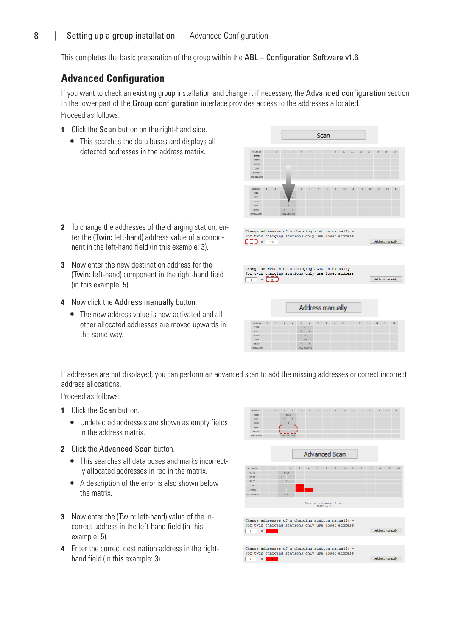# <span id="page-7-0"></span>8 | Setting up a group installation – Advanced Configuration

This completes the basic preparation of the group within the ABL – Configuration Software v1.6.

# **Advanced Configuration**

If you want to check an existing group installation and change it if necessary, the Advanced configuration section in the lower part of the Group configuration interface provides access to the addresses allocated. Proceed as follows:

- **1** Click the **Scan** button on the right-hand side.
	- This searches the data buses and displays all detected addresses in the address matrix.

- **2** To change the addresses of the charging station, enter the (Twin: left-hand) address value of a component in the left-hand field (in this example: 3).
- **3** Now enter the new destination address for the (Twin: left-hand) component in the right-hand field (in this example: 5).
- **4** Now click the Address manually button.
	- The new address value is now activated and all other allocated addresses are moved upwards in the same way.



If addresses are not displayed, you can perform an advanced scan to add the missing addresses or correct incorrect address allocations.

Proceed as follows:

- **1** Click the Scan button.
	- Undetected addresses are shown as empty fields in the address matrix.
- **2** Click the Advanced Scan button.
	- This searches all data buses and marks incorrectly allocated addresses in red in the matrix.
	- A description of the error is also shown below the matrix.
- **3** Now enter the (Twin: left-hand) value of the incorrect address in the left-hand field (in this example: 5).
- **4** Enter the correct destination address in the righthand field (in this example: 3).



Change addresses of a charging station manually -<br>For twin charging stations only use lower address Address manually  $\rightarrow$  1  $\overline{\phantom{a}}$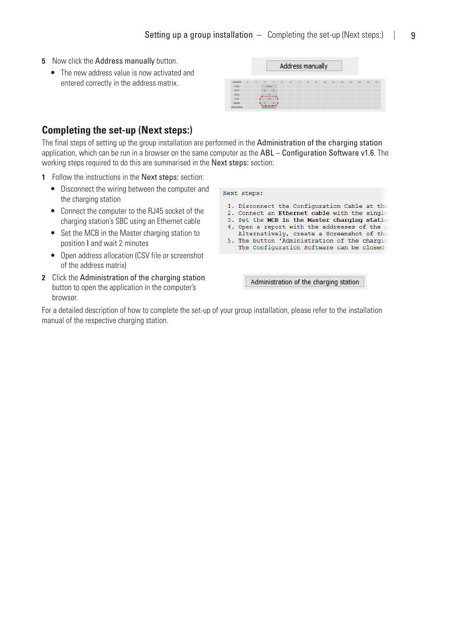**Contract Contract Contract** 

- <span id="page-8-0"></span>**5** Now click the Address manually button.
	- The new address value is now activated and entered correctly in the address matrix.

|             |                |                         |               |                |                | Address manually         |   |                |    |    |    |    |    |    |    |
|-------------|----------------|-------------------------|---------------|----------------|----------------|--------------------------|---|----------------|----|----|----|----|----|----|----|
| ADDRESS     | $\overline{z}$ | $\overline{\mathbf{3}}$ | $\frac{4}{3}$ | $\overline{5}$ | $6\phantom{.}$ | $\overline{\mathcal{V}}$ | 8 | $\overline{9}$ | 10 | 11 | 12 | 13 | 14 | 15 | 16 |
| <b>TYPE</b> |                | twin                    |               |                |                |                          |   |                |    |    |    |    |    |    |    |
| <b>EVCC</b> |                | $\mathbf{3}$            | $\frac{4}{3}$ |                |                |                          |   |                |    |    |    |    |    |    |    |
| RFID        |                |                         |               |                |                |                          |   |                |    |    |    |    |    |    |    |
| LGW         |                | 102                     |               |                |                |                          |   |                |    |    |    |    |    |    |    |
| METER       |                |                         | -4            |                |                |                          |   |                |    |    |    |    |    |    |    |
| SERIALNUM   |                | 3W225303801             |               |                |                |                          |   |                |    |    |    |    |    |    |    |

 $\sim$ 

# **Completing the set-up (Next steps:)**

The final steps of setting up the group installation are performed in the Administration of the charging station application, which can be run in a browser on the same computer as the ABL – Configuration Software v1.6. The working steps required to do this are summarised in the Next steps: section:

Next steps:

- **1** Follow the instructions in the Next steps: section:
	- Disconnect the wiring between the computer and the charging station
	- Connect the computer to the RJ45 socket of the charging station's SBC using an Ethernet cable
	- Set the MCB in the Master charging station to position I and wait 2 minutes
	- Open address allocation (CSV file or screenshot of the address matrix)
- **2** Click the Administration of the charging station button to open the application in the computer's browser.

| 1. Disconnect the Configuration Cable at the<br>2. Connect an Ethernet cable with the single<br>3. Set the MCB in the Master charging station<br>4. Open a report with the addresses of the o<br>Alternatively, create a Screenshot of the<br>5. The button 'Administration of the chargin<br>The Configuration Software can be closed |
|----------------------------------------------------------------------------------------------------------------------------------------------------------------------------------------------------------------------------------------------------------------------------------------------------------------------------------------|
|                                                                                                                                                                                                                                                                                                                                        |

Administration of the charging station

For a detailed description of how to complete the set-up of your group installation, please refer to the installation manual of the respective charging station.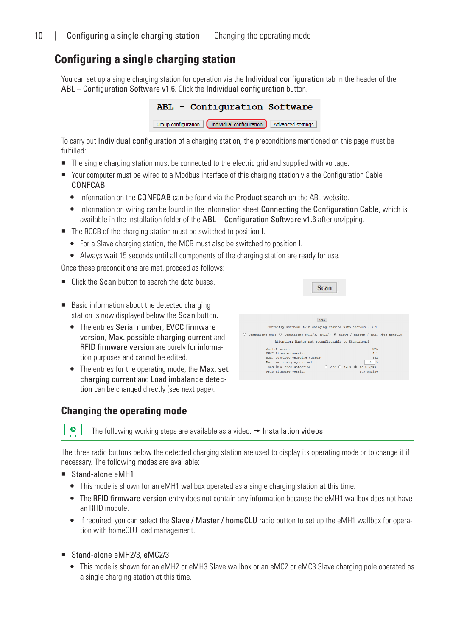# <span id="page-9-1"></span><span id="page-9-0"></span>**Configuring a single charging station**

You can set up a single charging station for operation via the Individual configuration tab in the header of the ABL – Configuration Software v1.6. Click the Individual configuration button.

| ABL - Configuration Software                                       |  |
|--------------------------------------------------------------------|--|
| Group configuration   Individual configuration   Advanced settings |  |

To carry out Individual configuration of a charging station, the preconditions mentioned on this page must be fulfilled:

- The single charging station must be connected to the electric grid and supplied with voltage.
- Your computer must be wired to a Modbus interface of this charging station via the Configuration Cable CONFCAB.
	- Information on the CONFCAB can be found via the [Product search](https://www.abl.de/de/produktsuche.php?selection=CONFCAB%257Citemnr_CONFCAB) on the ABL website.
	- Information on wiring can be found in the information sheet Connecting the Configuration Cable, which is available in the installation folder of the ABL – Configuration Software v1.6 after unzipping.
- The RCCB of the charging station must be switched to position I.
	- For a Slave charging station, the MCB must also be switched to position I.
	- Always wait 15 seconds until all components of the charging station are ready for use.

Once these preconditions are met, proceed as follows:

- Click the Scan button to search the data buses.
- Basic information about the detected charging station is now displayed below the Scan button.
	- The entries Serial number, EVCC firmware version, Max. possible charging current and RFID firmware version are purely for information purposes and cannot be edited.
	- The entries for the operating mode, the Max. set charging current and Load imbalance detection can be changed directly (see next page).

# <span id="page-9-2"></span>**Changing the operating mode**



 $\bullet$ The following working steps are available as a video:  $\rightarrow$  [Installation videos](https://www.ablmobility.de/en/service/downloads.php#installationsvideo)

The three radio buttons below the detected charging station are used to display its operating mode or to change it if necessary. The following modes are available:

- Stand-alone eMH1
	- This mode is shown for an eMH1 wallbox operated as a single charging station at this time.
	- The RFID firmware version entry does not contain any information because the eMH1 wallbox does not have an RFID module.
	- If required, you can select the Slave / Master / homeCLU radio button to set up the eMH1 wallbox for operation with homeCLU load management.
- Stand-alone eMH2/3, eMC2/3
	- This mode is shown for an eMH2 or eMH3 Slave wallbox or an eMC2 or eMC3 Slave charging pole operated as a single charging station at this time.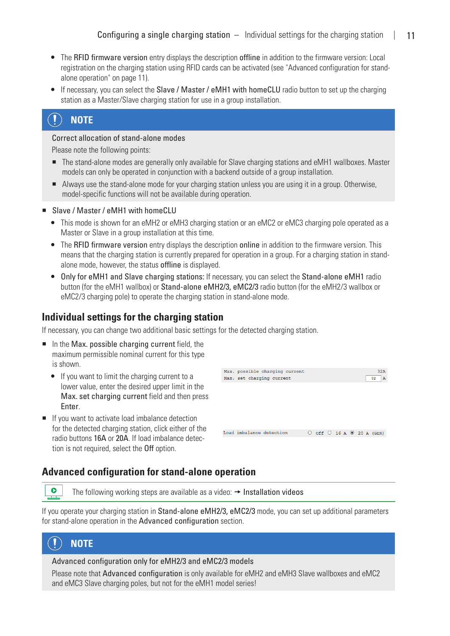- <span id="page-10-0"></span>• The RFID firmware version entry displays the description offline in addition to the firmware version: Local registration on the charging station using RFID cards can be activated (see ["Advanced configuration for stand](#page-10-1)[alone operation" on page 11\)](#page-10-1).
- If necessary, you can select the Slave / Master / eMH1 with homeCLU radio button to set up the charging station as a Master/Slave charging station for use in a group installation.

#### $\left( \begin{matrix} 1 \end{matrix} \right)$ **NOTE**

#### Correct allocation of stand-alone modes

Please note the following points:

- The stand-alone modes are generally only available for Slave charging stations and eMH1 wallboxes. Master models can only be operated in conjunction with a backend outside of a group installation.
- Always use the stand-alone mode for your charging station unless you are using it in a group. Otherwise, model-specific functions will not be available during operation.

#### ■ Slave / Master / eMH1 with homeCLU

- This mode is shown for an eMH2 or eMH3 charging station or an eMC2 or eMC3 charging pole operated as a Master or Slave in a group installation at this time.
- The RFID firmware version entry displays the description online in addition to the firmware version. This means that the charging station is currently prepared for operation in a group. For a charging station in standalone mode, however, the status offline is displayed.
- Only for eMH1 and Slave charging stations: If necessary, you can select the Stand-alone eMH1 radio button (for the eMH1 wallbox) or Stand-alone eMH2/3, eMC2/3 radio button (for the eMH2/3 wallbox or eMC2/3 charging pole) to operate the charging station in stand-alone mode.

# **Individual settings for the charging station**

If necessary, you can change two additional basic settings for the detected charging station.

- $\blacksquare$  In the Max. possible charging current field, the maximum permissible nominal current for this type is shown.
	- $\bullet$  If you want to limit the charging current to a lower value, enter the desired upper limit in the Max. set charging current field and then press Enter.
- $\blacksquare$  If you want to activate load imbalance detection for the detected charging station, click either of the radio buttons 16A or 20A. If load imbalance detection is not required, select the Off option.

| Max. possible charging current<br>Max. set charging current |                                                 | 32A<br>$\mathbf{A}$<br>32 |
|-------------------------------------------------------------|-------------------------------------------------|---------------------------|
|                                                             |                                                 |                           |
|                                                             |                                                 |                           |
|                                                             |                                                 |                           |
| Load imbalance detection                                    | O Off $\bigcirc$ 16 A $\circledcirc$ 20 A (GER) |                           |
|                                                             |                                                 |                           |

# <span id="page-10-1"></span>**Advanced configuration for stand-alone operation**

The following working steps are available as a video:  $\rightarrow$  [Installation videos](https://www.ablmobility.de/en/service/downloads.php#installationsvideo)

If you operate your charging station in Stand-alone eMH2/3, eMC2/3 mode, you can set up additional parameters for stand-alone operation in the Advanced configuration section.



 $\bullet$ **100** 

Advanced configuration only for eMH2/3 and eMC2/3 models

Please note that Advanced configuration is only available for eMH2 and eMH3 Slave wallboxes and eMC2 and eMC3 Slave charging poles, but not for the eMH1 model series!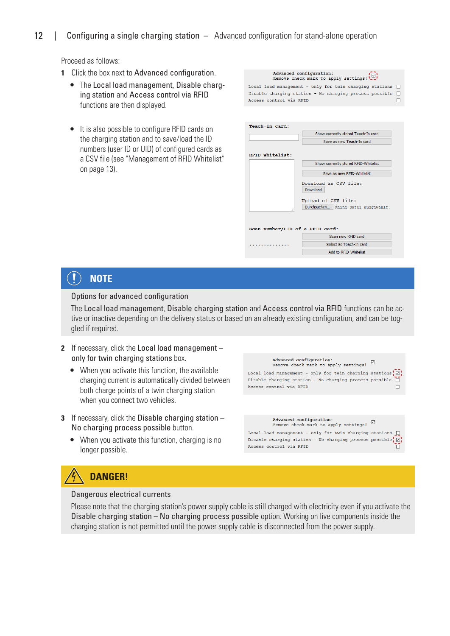## 12 | Configuring a single charging station – Advanced configuration for stand-alone operation

Proceed as follows:

- **1** Click the box next to Advanced configuration.
	- The Local load management, Disable charging station and Access control via RFID functions are then displayed.
	- It is also possible to configure RFID cards on the charging station and to save/load the ID numbers (user ID or UID) of configured cards as a CSV file (see ["Management of RFID Whitelist"](#page-12-1)  [on page 13\)](#page-12-1).

Advanced configuration: Advanced configuration:<br>Remove check mark to apply settings! Local load management - only for twin charging stations  $\square$ Disable charging station - No charging process possible  $\Box$ Access control via RFID  $\Box$ 

| Teach-In card:                  |                                          |
|---------------------------------|------------------------------------------|
|                                 | Show currently stored Teach-In card      |
|                                 | Save as new Teach-In card                |
|                                 |                                          |
| RFID Whitelist:                 |                                          |
|                                 | Show currently stored RFID-Whitelist     |
|                                 | Save as new RFID-Whitelist               |
|                                 | Download as CSV file:<br><b>Download</b> |
|                                 | Upload of CSV file:                      |
| :                               | Durchsuchen   Keine Datei ausgewählt.    |
| Scan number/UID of a RFID card: |                                          |
|                                 | Scan new RFID card                       |
|                                 | Select as Teach-In card                  |
|                                 |                                          |
|                                 | Add to RFID-Whitelist                    |

#### $\ket{\mathbf{1}}$ **NOTE**

#### Options for advanced configuration

The Local load management, Disable charging station and Access control via RFID functions can be active or inactive depending on the delivery status or based on an already existing configuration, and can be toggled if required.

- **2** If necessary, click the Local load management only for twin charging stations box.
	- $\bullet$  When you activate this function, the available charging current is automatically divided between both charge points of a twin charging station when you connect two vehicles.
- **3** If necessary, click the Disable charging station No charging process possible button.
	- When you activate this function, charging is no longer possible.



# **DANGER!**

#### Dangerous electrical currents

Please note that the charging station's power supply cable is still charged with electricity even if you activate the Disable charging station – No charging process possible option. Working on live components inside the charging station is not permitted until the power supply cable is disconnected from the power supply.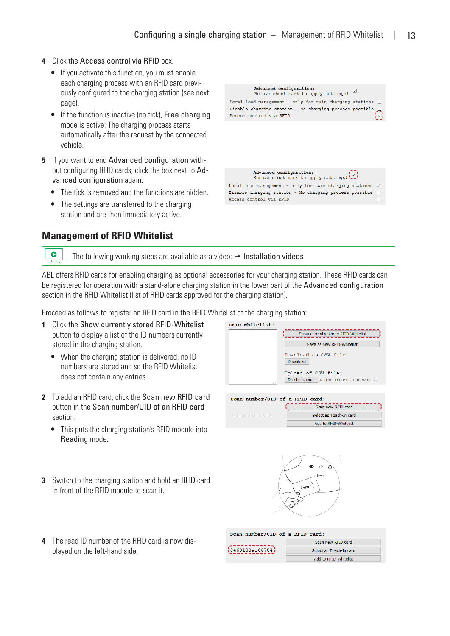- <span id="page-12-0"></span>**4** Click the Access control via RFID box.
	- $\bullet$  If you activate this function, you must enable each charging process with an RFID card previously configured to the charging station (see next page).
	- If the function is inactive (no tick), Free charging mode is active: The charging process starts automatically after the request by the connected vehicle.
- **5** If you want to end Advanced configuration without configuring RFID cards, click the box next to Advanced configuration again.
	- The tick is removed and the functions are hidden.
	- The settings are transferred to the charging station and are then immediately active.



# <span id="page-12-1"></span>**Management of RFID Whitelist**

 $\bullet$ 

The following working steps are available as a video:  $\rightarrow$  [Installation videos](https://www.ablmobility.de/en/service/downloads.php#installationsvideo)

ABL offers RFID cards for enabling charging as optional accessories for your charging station. These RFID cards can be registered for operation with a stand-alone charging station in the lower part of the Advanced configuration section in the RFID Whitelist (list of RFID cards approved for the charging station).

Proceed as follows to register an RFID card in the RFID Whitelist of the charging station:

- **1** Click the Show currently stored RFID-Whitelist button to display a list of the ID numbers currently stored in the charging station.
	- When the charging station is delivered, no ID numbers are stored and so the RFID Whitelist does not contain any entries.
- **2** To add an RFID card, click the Scan new RFID card button in the Scan number/UID of an RFID card section.
	- This puts the charging station's RFID module into Reading mode.
- **3** Switch to the charging station and hold an RFID card in front of the RFID module to scan it.
- **4** The read ID number of the RFID card is now displayed on the left-hand side.





Add to RFID-Whitelist

| Scan number/UID of a RFID card: |                         |
|---------------------------------|-------------------------|
|                                 | Scan new RFID card      |
| ${10463188a c66784}$            | Select as Teach-In card |
|                                 | Add to RFID-Whitelist   |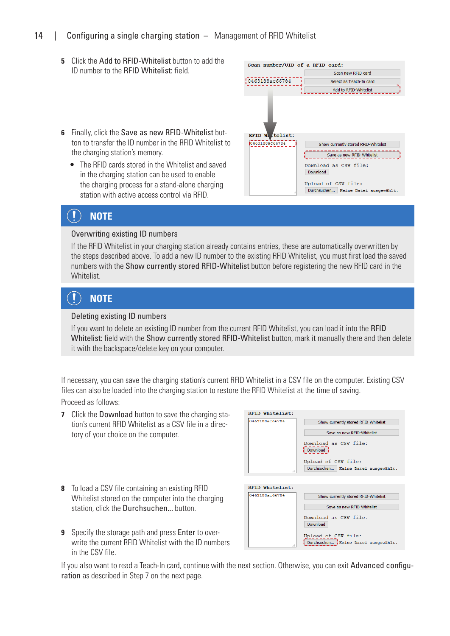## 14 | Configuring a single charging station – Management of RFID Whitelist

- **5** Click the Add to RFID-Whitelist button to add the ID number to the RFID Whitelist: field.
- **6** Finally, click the Save as new RFID-Whitelist button to transfer the ID number in the RFID Whitelist to the charging station's memory.
	- The RFID cards stored in the Whitelist and saved in the charging station can be used to enable the charging process for a stand-alone charging station with active access control via RFID.



#### $\mathbf{I}$ **NOTE**

#### Overwriting existing ID numbers

If the RFID Whitelist in your charging station already contains entries, these are automatically overwritten by the steps described above. To add a new ID number to the existing RFID Whitelist, you must first load the saved numbers with the Show currently stored RFID-Whitelist button before registering the new RFID card in the Whitelist.

#### $\left( \mathbf{I}\right)$ **NOTE**

#### Deleting existing ID numbers

If you want to delete an existing ID number from the current RFID Whitelist, you can load it into the RFID Whitelist: field with the Show currently stored RFID-Whitelist button, mark it manually there and then delete it with the backspace/delete key on your computer.

If necessary, you can save the charging station's current RFID Whitelist in a CSV file on the computer. Existing CSV files can also be loaded into the charging station to restore the RFID Whitelist at the time of saving. Proceed as follows:

**7** Click the Download button to save the charging station's current RFID Whitelist as a CSV file in a directory of your choice on the computer.

| RFID Whitelist: |                                                            |
|-----------------|------------------------------------------------------------|
| 0463188ac66784  | Show currently stored RFID-Whitelist                       |
|                 | Save as new RFID-Whitelist                                 |
|                 | Download as CSV file:<br>Download                          |
|                 | Upload of CSV file:                                        |
|                 | Durchsuchen   Keine Datei ausgewählt.                      |
|                 |                                                            |
| RFID Whitelist: |                                                            |
| 0463188ac66784  | Show currently stored RFID-Whitelist                       |
|                 | Save as new RFID-Whitelist                                 |
|                 | Download as CSV file:<br><b>Download</b>                   |
|                 | Upload of CSV file:<br>Durchsuchen Keine Datei ausgewählt. |

- **8** To load a CSV file containing an existing RFID Whitelist stored on the computer into the charging station, click the Durchsuchen... button.
- **9** Specify the storage path and press Enter to overwrite the current RFID Whitelist with the ID numbers in the CSV file.

If you also want to read a Teach-In card, continue with the next section. Otherwise, you can exit Advanced configuration as described in Step 7 on the next page.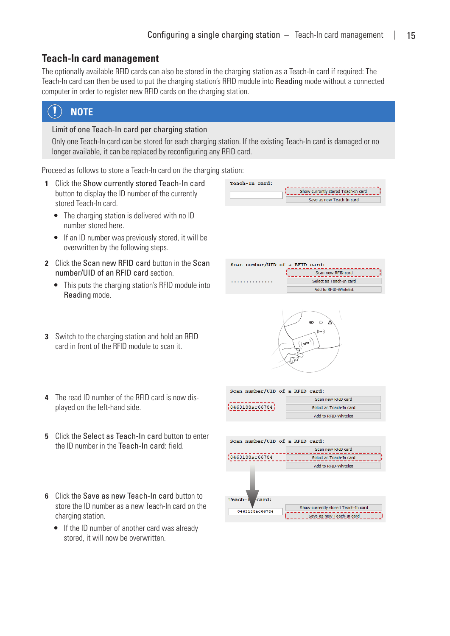# <span id="page-14-0"></span>**Teach-In card management**

The optionally available RFID cards can also be stored in the charging station as a Teach-In card if required: The Teach-In card can then be used to put the charging station's RFID module into Reading mode without a connected computer in order to register new RFID cards on the charging station.

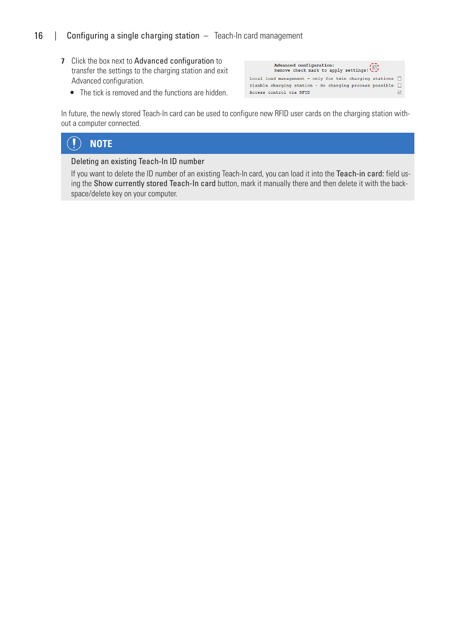# 16 | Configuring a single charging station - Teach-In card management

- **7** Click the box next to Advanced configuration to transfer the settings to the charging station and exit Advanced configuration.
	- The tick is removed and the functions are hidden.

| Local load management - only for twin charging stations $\bigcap$ |
|-------------------------------------------------------------------|
| Disable charging station - No charging process possible $\Box$    |
| ▽                                                                 |
|                                                                   |

In future, the newly stored Teach-In card can be used to configure new RFID user cards on the charging station without a computer connected.

#### $\bf \overline{D}$ **NOTE**

#### Deleting an existing Teach-In ID number

If you want to delete the ID number of an existing Teach-In card, you can load it into the Teach-in card: field using the Show currently stored Teach-In card button, mark it manually there and then delete it with the backspace/delete key on your computer.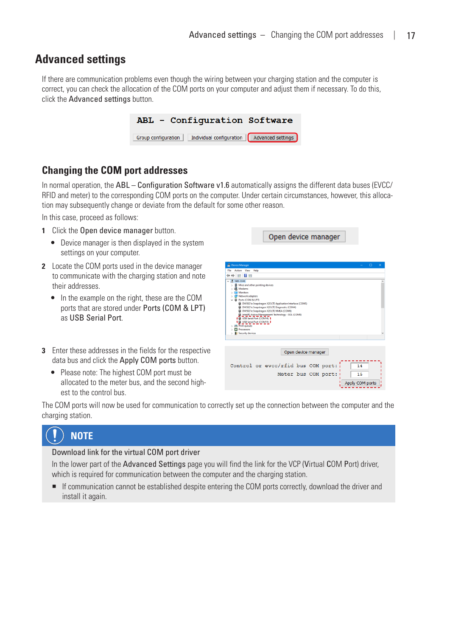# <span id="page-16-1"></span><span id="page-16-0"></span>**Advanced settings**

If there are communication problems even though the wiring between your charging station and the computer is correct, you can check the allocation of the COM ports on your computer and adjust them if necessary. To do this, click the Advanced settings button.



# **Changing the COM port addresses**

In normal operation, the ABL – Configuration Software v1.6 automatically assigns the different data buses (EVCC/ RFID and meter) to the corresponding COM ports on the computer. Under certain circumstances, however, this allocation may subsequently change or deviate from the default for some other reason.

In this case, proceed as follows:

- **1** Click the Open device manager button.
	- Device manager is then displayed in the system settings on your computer.
- **2** Locate the COM ports used in the device manager to communicate with the charging station and note their addresses.
	- In the example on the right, these are the COM ports that are stored under Ports (COM & LPT) as USB Serial Port.
- **3** Enter these addresses in the fields for the respective data bus and click the Apply COM ports button.
	- Please note: The highest COM port must be allocated to the meter bus, and the second highest to the control bus.

Open device manager

| File<br>Action View<br>Help<br>$\overline{?}$<br>$\overline{\mathbf{H}}$<br>÷<br><br>NBS-0346<br><b>A</b> Mice and other pointing devices<br>Modems<br>Monitors<br>Network adapters<br>Ports (COM & LPT)<br>DW5821e Snapdragon X20 LTE Application Interface (COM5)<br>DW5821e Snapdragon X20 LTE Diagnostic (COM4)<br>DW5821e Snapdragon X20 LTE NMEA (COM6)<br>Intel(R) Active Management Technology - SOL (COM8)<br>I @ USB Serial Port (COM14) 1<br>Ⅰ (B) USB Serial Port (COM15) Ⅰ<br><b>Print queues</b><br><b>Processors</b><br><b>R</b> <sup>9</sup> Security devices<br>Open device manager<br>Control or evcc/rfid bus COM port:<br>14<br>Meter bus COM port:<br>15 | Device Manager | п | $\times$ |
|-------------------------------------------------------------------------------------------------------------------------------------------------------------------------------------------------------------------------------------------------------------------------------------------------------------------------------------------------------------------------------------------------------------------------------------------------------------------------------------------------------------------------------------------------------------------------------------------------------------------------------------------------------------------------------|----------------|---|----------|
|                                                                                                                                                                                                                                                                                                                                                                                                                                                                                                                                                                                                                                                                               |                |   |          |
|                                                                                                                                                                                                                                                                                                                                                                                                                                                                                                                                                                                                                                                                               |                |   |          |
|                                                                                                                                                                                                                                                                                                                                                                                                                                                                                                                                                                                                                                                                               |                |   |          |
|                                                                                                                                                                                                                                                                                                                                                                                                                                                                                                                                                                                                                                                                               |                |   |          |
|                                                                                                                                                                                                                                                                                                                                                                                                                                                                                                                                                                                                                                                                               |                |   |          |
|                                                                                                                                                                                                                                                                                                                                                                                                                                                                                                                                                                                                                                                                               |                |   |          |
|                                                                                                                                                                                                                                                                                                                                                                                                                                                                                                                                                                                                                                                                               |                |   |          |
|                                                                                                                                                                                                                                                                                                                                                                                                                                                                                                                                                                                                                                                                               |                |   |          |
|                                                                                                                                                                                                                                                                                                                                                                                                                                                                                                                                                                                                                                                                               |                |   |          |
|                                                                                                                                                                                                                                                                                                                                                                                                                                                                                                                                                                                                                                                                               |                |   |          |
|                                                                                                                                                                                                                                                                                                                                                                                                                                                                                                                                                                                                                                                                               |                |   |          |
|                                                                                                                                                                                                                                                                                                                                                                                                                                                                                                                                                                                                                                                                               |                |   |          |
|                                                                                                                                                                                                                                                                                                                                                                                                                                                                                                                                                                                                                                                                               |                |   |          |
|                                                                                                                                                                                                                                                                                                                                                                                                                                                                                                                                                                                                                                                                               |                |   |          |
|                                                                                                                                                                                                                                                                                                                                                                                                                                                                                                                                                                                                                                                                               |                |   |          |
|                                                                                                                                                                                                                                                                                                                                                                                                                                                                                                                                                                                                                                                                               |                |   |          |
|                                                                                                                                                                                                                                                                                                                                                                                                                                                                                                                                                                                                                                                                               |                |   |          |
|                                                                                                                                                                                                                                                                                                                                                                                                                                                                                                                                                                                                                                                                               |                |   |          |
|                                                                                                                                                                                                                                                                                                                                                                                                                                                                                                                                                                                                                                                                               |                |   |          |
|                                                                                                                                                                                                                                                                                                                                                                                                                                                                                                                                                                                                                                                                               |                |   |          |
|                                                                                                                                                                                                                                                                                                                                                                                                                                                                                                                                                                                                                                                                               |                |   |          |
|                                                                                                                                                                                                                                                                                                                                                                                                                                                                                                                                                                                                                                                                               |                |   |          |
|                                                                                                                                                                                                                                                                                                                                                                                                                                                                                                                                                                                                                                                                               |                |   |          |
|                                                                                                                                                                                                                                                                                                                                                                                                                                                                                                                                                                                                                                                                               |                |   |          |
|                                                                                                                                                                                                                                                                                                                                                                                                                                                                                                                                                                                                                                                                               |                |   |          |
| Apply COM ports                                                                                                                                                                                                                                                                                                                                                                                                                                                                                                                                                                                                                                                               |                |   |          |

The COM ports will now be used for communication to correctly set up the connection between the computer and the charging station.

# **NOTE**

#### Download link for the virtual COM port driver

In the lower part of the Advanced Settings page you will find the link for the VCP (Virtual COM Port) driver, which is required for communication between the computer and the charging station.

■ If communication cannot be established despite entering the COM ports correctly, download the driver and install it again.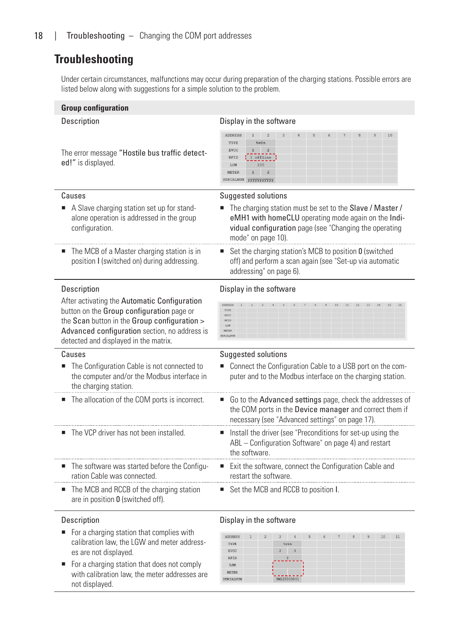# <span id="page-17-0"></span>**Troubleshooting**

Under certain circumstances, malfunctions may occur during preparation of the charging stations. Possible errors are listed below along with suggestions for a simple solution to the problem.

| <b>Group configuration</b>                                                                                                                                                                                                          |                                                                                                                                                                                                 |  |  |  |  |  |  |  |
|-------------------------------------------------------------------------------------------------------------------------------------------------------------------------------------------------------------------------------------|-------------------------------------------------------------------------------------------------------------------------------------------------------------------------------------------------|--|--|--|--|--|--|--|
| Description                                                                                                                                                                                                                         | Display in the software                                                                                                                                                                         |  |  |  |  |  |  |  |
| The error message "Hostile bus traffic detect-<br>ed!" is displayed.                                                                                                                                                                | ADDRESS<br>10<br>TYPE<br>twin<br>1<br>$\overline{2}$<br><b>EVCC</b><br>1 offline<br><b>RFID</b><br>100<br>LGW<br>$\mathbf{2}$<br><b>METER</b><br>1<br>SERIALNUM<br><b>YYYYYYYYYYY</b>           |  |  |  |  |  |  |  |
| Causes                                                                                                                                                                                                                              | <b>Suggested solutions</b>                                                                                                                                                                      |  |  |  |  |  |  |  |
| A Slave charging station set up for stand-<br>alone operation is addressed in the group<br>configuration.                                                                                                                           | The charging station must be set to the Slave / Master /<br>eMH1 with homeCLU operating mode again on the Indi-<br>vidual configuration page (see "Changing the operating<br>mode" on page 10). |  |  |  |  |  |  |  |
| The MCB of a Master charging station is in<br>position I (switched on) during addressing.                                                                                                                                           | Set the charging station's MCB to position 0 (switched<br>off) and perform a scan again (see "Set-up via automatic<br>addressing" on page 6).                                                   |  |  |  |  |  |  |  |
| <b>Description</b>                                                                                                                                                                                                                  | Display in the software                                                                                                                                                                         |  |  |  |  |  |  |  |
| After activating the Automatic Configuration<br>button on the Group configuration page or<br>the Scan button in the Group configuration ><br>Advanced configuration section, no address is<br>detected and displayed in the matrix. | TYPE<br>EVCC<br>RFID<br>LGW<br>METER<br><b>ERTALNI</b>                                                                                                                                          |  |  |  |  |  |  |  |
| Causes                                                                                                                                                                                                                              | Suggested solutions                                                                                                                                                                             |  |  |  |  |  |  |  |
| The Configuration Cable is not connected to<br>the computer and/or the Modbus interface in<br>the charging station.                                                                                                                 | Connect the Configuration Cable to a USB port on the com-<br>puter and to the Modbus interface on the charging station.                                                                         |  |  |  |  |  |  |  |
| The allocation of the COM ports is incorrect.                                                                                                                                                                                       | Go to the Advanced settings page, check the addresses of<br>ш<br>the COM ports in the Device manager and correct them if<br>necessary (see "Advanced settings" on page 17).                     |  |  |  |  |  |  |  |
| The VCP driver has not been installed.                                                                                                                                                                                              | Install the driver (see "Preconditions for set-up using the<br>ABL - Configuration Software" on page 4) and restart<br>the software.                                                            |  |  |  |  |  |  |  |
| The software was started before the Configu-<br>ration Cable was connected.                                                                                                                                                         | Exit the software, connect the Configuration Cable and<br>restart the software.                                                                                                                 |  |  |  |  |  |  |  |
| The MCB and RCCB of the charging station<br>are in position 0 (switched off).                                                                                                                                                       | Set the MCB and RCCB to position I.                                                                                                                                                             |  |  |  |  |  |  |  |

- For a charging station that complies with calibration law, the LGW and meter addresses are not displayed.
- For a charging station that does not comply with calibration law, the meter addresses are not displayed.

#### Description Display in the software

| <b>ADDRESS</b> | $\overline{1}$ | $\overline{2}$ | $\overline{3}$ | $\frac{4}{1}$ | 5 | 6 | 7 | 8 | $\mathbf{9}$ | 10 | 11 |  |
|----------------|----------------|----------------|----------------|---------------|---|---|---|---|--------------|----|----|--|
| TYPE           |                |                | twin           |               |   |   |   |   |              |    |    |  |
| <b>EVCC</b>    |                |                | 3              | $\frac{4}{3}$ |   |   |   |   |              |    |    |  |
| <b>RFID</b>    |                |                | $\overline{a}$ |               |   |   |   |   |              |    |    |  |
| LGW            |                |                |                |               |   |   |   |   |              |    |    |  |
| <b>METER</b>   |                |                |                |               |   |   |   |   |              |    |    |  |
| SERIALNUM      |                |                | 3W225303801    |               |   |   |   |   |              |    |    |  |
|                |                |                |                |               |   |   |   |   |              |    |    |  |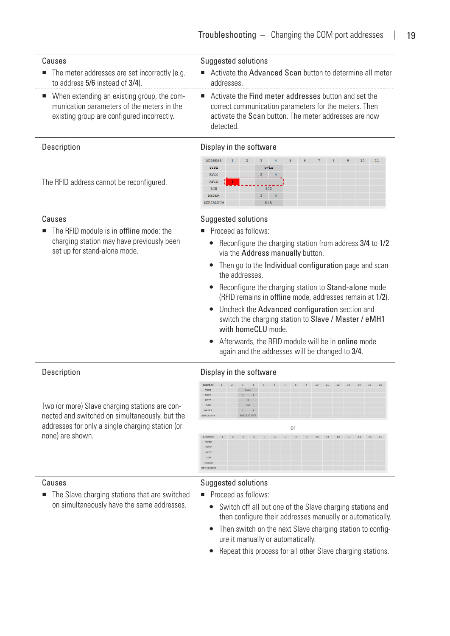| Causes<br>$\blacksquare$ The meter addresses are set incorrectly (e.g.<br>to address 5/6 instead of 3/4).                                | Suggested solutions<br>■ Activate the Advanced Scan button to determine all meter<br>addresses                                                                                       |
|------------------------------------------------------------------------------------------------------------------------------------------|--------------------------------------------------------------------------------------------------------------------------------------------------------------------------------------|
| ■ When extending an existing group, the com-<br>munication parameters of the meters in the<br>existing group are configured incorrectly. | ■ Activate the Find meter addresses button and set the<br>correct communication parameters for the meters. Then<br>activate the Scan button. The meter addresses are now<br>hetected |

The RFID address cannot be reconfigured.

■ The RFID module is in **offline** mode: the charging station may have previously been

set up for stand-alone mode.

#### Description **Display** in the software



## Causes Causes **Suggested solutions**

- Proceed as follows:
	- Reconfigure the charging station from address 3/4 to 1/2 via the Address manually button.
	- $\bullet$  Then go to the Individual configuration page and scan the addresses.
	- Reconfigure the charging station to Stand-alone mode (RFID remains in offline mode, addresses remain at 1/2).
	- Uncheck the Advanced configuration section and switch the charging station to Slave / Master / eMH1 with homeCLU mode.
	- Afterwards, the RFID module will be in online mode again and the addresses will be changed to 3/4.

#### Description Description Display in the software

| <b>ADDRESS</b>        |   | $1\quad 2$     | $\overline{\mathbf{3}}$ | 456            |                |   | 7              | 8  | 9    | 10 | 11 | 12 |    | 13 14 15 |    | 16 |
|-----------------------|---|----------------|-------------------------|----------------|----------------|---|----------------|----|------|----|----|----|----|----------|----|----|
| TYPE                  |   |                | twin                    |                |                |   |                |    |      |    |    |    |    |          |    |    |
| EVCC                  |   |                | $\overline{3}$          | $\frac{1}{2}$  |                |   |                |    |      |    |    |    |    |          |    |    |
| <b>RFID</b>           |   |                | $\overline{3}$          |                |                |   |                |    |      |    |    |    |    |          |    |    |
| LGW                   |   |                | 102                     |                |                |   |                |    |      |    |    |    |    |          |    |    |
| METER                 |   |                | $\overline{3}$          | $\overline{4}$ |                |   |                |    |      |    |    |    |    |          |    |    |
| SERIALNUM             |   |                | 3W225303801             |                |                |   |                |    |      |    |    |    |    |          |    |    |
|                       |   |                |                         |                |                |   |                |    |      |    |    |    |    |          |    |    |
|                       |   |                |                         |                |                |   |                | 0r |      |    |    |    |    |          |    |    |
|                       | 1 | $\overline{2}$ | $\overline{3}$          | $\frac{4}{3}$  | $\overline{5}$ | 6 | $\overline{7}$ | 8  | $-9$ | 10 | 11 | 12 | 13 | 14       | 15 |    |
| TYPE                  |   |                |                         |                |                |   |                |    |      |    |    |    |    |          |    |    |
| <b>EVCC</b>           |   |                |                         |                |                |   |                |    |      |    |    |    |    |          |    |    |
| <b>RFID</b>           |   |                |                         |                |                |   |                |    |      |    |    |    |    |          |    |    |
| <b>ADDRESS</b><br>LGW |   |                |                         |                |                |   |                |    |      |    |    |    |    |          |    | 16 |

none) are shown.

■ The Slave charging stations that are switched on simultaneously have the same addresses.

Two (or more) Slave charging stations are connected and switched on simultaneously, but the addresses for only a single charging station (or

#### Causes **Suggested solutions**

- Proceed as follows:
	- Switch off all but one of the Slave charging stations and then configure their addresses manually or automatically.
	- Then switch on the next Slave charging station to configure it manually or automatically.
	- Repeat this process for all other Slave charging stations.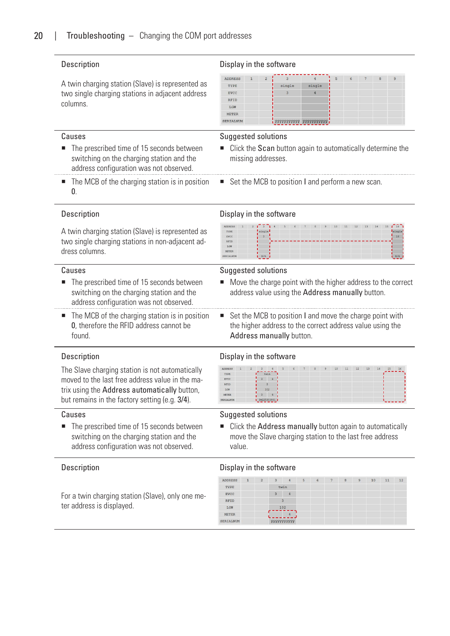A twin charging station (Slave) is represented as two single charging stations in adjacent address columns.

- The prescribed time of 15 seconds between switching on the charging station and the address configuration was not observed.
- $\blacksquare$  The MCB of the charging station is in position  $\mathbf{0}$ .

#### Description Description Display in the software

| ADDRESS     | $\mathbf{1}$ | 2 |        |                        | $\overline{a}$ | $6\overline{6}$ | $\overline{7}$ | $_{8}$ | $\alpha$ |
|-------------|--------------|---|--------|------------------------|----------------|-----------------|----------------|--------|----------|
| TYPE        |              |   | single | single                 |                |                 |                |        |          |
| <b>EVCC</b> |              |   | $\sim$ |                        |                |                 |                |        |          |
| <b>RFID</b> |              |   |        |                        |                |                 |                |        |          |
| LGW         |              |   |        |                        |                |                 |                |        |          |
| METER       |              |   |        |                        |                |                 |                |        |          |
| SERIALNUM   |              |   |        | OVVVVVVVV VVVVVVVVVVVI |                |                 |                |        |          |

#### Causes Causes Causes Causes Causes Causes Causes Causes Suggested solutions

- Click the Scan button again to automatically determine the missing addresses.
- Set the MCB to position I and perform a new scan.

A twin charging station (Slave) is represented as two single charging stations in non-adjacent address columns.

- The prescribed time of 15 seconds between switching on the charging station and the address configuration was not observed.
- The MCB of the charging station is in position 0, therefore the RFID address cannot be found.

The Slave charging station is not automatically moved to the last free address value in the matrix using the Address automatically button, but remains in the factory setting (e.g. 3/4).

■ The prescribed time of 15 seconds between switching on the charging station and the address configuration was not observed.

For a twin charging station (Slave), only one meter address is displayed.

#### Description **Display** in the software



#### Causes Causes Causes Causes Causes Causes Causes Causes Causes Suggested solutions

- Move the charge point with the higher address to the correct address value using the Address manually button.
- Set the MCB to position I and move the charge point with the higher address to the correct address value using the Address manually button.

#### Description **Display** in the software



#### Causes Causes Causes Causes Causes Causes Causes Causes Suggested solutions

■ Click the Address manually button again to automatically move the Slave charging station to the last free address value.

#### Description Display in the software

|                |              | $-2$ | 3                         | $\frac{4}{3}$ | 5 | 6 | 7 | 8 | 9 |    |    |    |
|----------------|--------------|------|---------------------------|---------------|---|---|---|---|---|----|----|----|
| <b>ADDRESS</b> | $\mathbf{1}$ |      |                           |               |   |   |   |   |   | 10 | 11 | 12 |
| TYPE           |              |      | twin                      |               |   |   |   |   |   |    |    |    |
| <b>EVCC</b>    |              |      | 3                         | 4             |   |   |   |   |   |    |    |    |
| RFID           |              |      | $\overline{3}$            |               |   |   |   |   |   |    |    |    |
| LGW            |              |      | 102                       |               |   |   |   |   |   |    |    |    |
| <b>METER</b>   |              |      |                           |               |   |   |   |   |   |    |    |    |
| SERIALNUM      |              |      | <b><i>YYYYYYYYYYY</i></b> |               |   |   |   |   |   |    |    |    |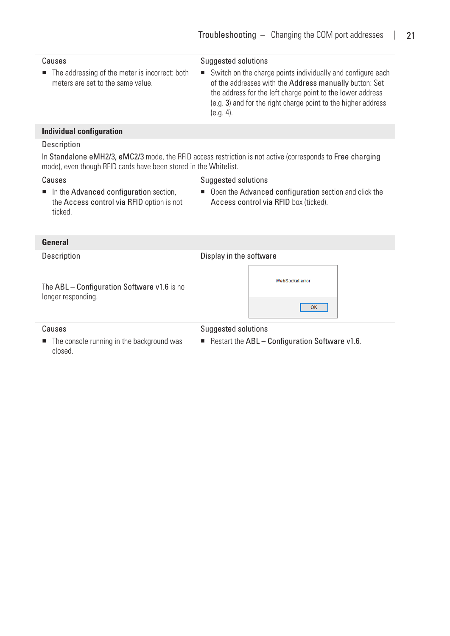| Causes                                                                                         | <b>Suggested solutions</b>                                                                                                                                                                                                                                           |  |  |  |  |  |
|------------------------------------------------------------------------------------------------|----------------------------------------------------------------------------------------------------------------------------------------------------------------------------------------------------------------------------------------------------------------------|--|--|--|--|--|
| The addressing of the meter is incorrect: both<br>meters are set to the same value.            | Switch on the charge points individually and configure each<br>of the addresses with the Address manually button: Set<br>the address for the left charge point to the lower address<br>(e.g. 3) and for the right charge point to the higher address<br>$(e.g. 4)$ . |  |  |  |  |  |
| <b>Individual configuration</b>                                                                |                                                                                                                                                                                                                                                                      |  |  |  |  |  |
| Description                                                                                    |                                                                                                                                                                                                                                                                      |  |  |  |  |  |
| mode), even though RFID cards have been stored in the Whitelist.                               | In Standalone eMH2/3, eMC2/3 mode, the RFID access restriction is not active (corresponds to Free charging                                                                                                                                                           |  |  |  |  |  |
| Causes                                                                                         | <b>Suggested solutions</b>                                                                                                                                                                                                                                           |  |  |  |  |  |
| In the Advanced configuration section,<br>the Access control via RFID option is not<br>ticked. | Open the Advanced configuration section and click the<br>ш<br>Access control via RFID box (ticked).                                                                                                                                                                  |  |  |  |  |  |
| <b>General</b>                                                                                 |                                                                                                                                                                                                                                                                      |  |  |  |  |  |
| <b>Description</b>                                                                             | Display in the software                                                                                                                                                                                                                                              |  |  |  |  |  |
| The ABL - Configuration Software v1.6 is no<br>longer responding.                              | WebSocket error                                                                                                                                                                                                                                                      |  |  |  |  |  |
|                                                                                                | OK                                                                                                                                                                                                                                                                   |  |  |  |  |  |
| Causes                                                                                         | <b>Suggested solutions</b>                                                                                                                                                                                                                                           |  |  |  |  |  |
| The console running in the background was<br>closed.                                           | Restart the ABL - Configuration Software v1.6.                                                                                                                                                                                                                       |  |  |  |  |  |